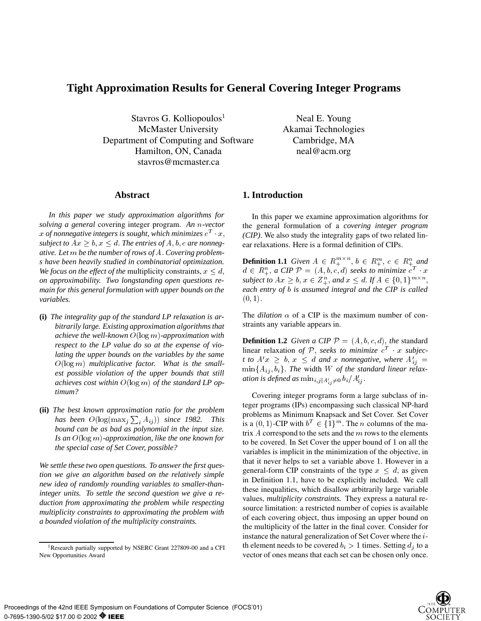# **Tight Approximation Results for General Covering Integer Programs**

Stavros G. Kolliopoulos<sup>1</sup> McMaster University Department of Computing and Software Hamilton, ON, Canada stavros@mcmaster.ca

Neal E. Young Akamai Technologies Cambridge, MA neal@acm.org

#### **Abstract**

*In this paper we study approximation algorithms for solving a general* covering integer program. *An* n*-vector* x of nonnegative integers is sought, which minimizes  $c^T$  x, *subject to*  $Ax \geq b$ ,  $x \leq d$ . The entries of A, b, c are nonneg*ative. Let* m *be the number of rows of* A: *Covering problems have been heavily studied in combinatorial optimization. We focus on the effect of the multiplicity constraints,*  $x \leq d$ , *on approximability. Two longstanding open questions remain for this general formulation with upper bounds on the variables.*

- **(i)** *The integrality gap of the standard LP relaxation is arbitrarily large. Existing approximation algorithms that achieve the well-known* <sup>O</sup>(log <sup>m</sup>)*-approximation with respect to the LP value do so at the expense of violating the upper bounds on the variables by the same* O(log m) *multiplicative factor. What is the smallest possible violation of the upper bounds that still achieves cost within* <sup>O</sup>(log <sup>m</sup>) *of the standard LP optimum?*
- **(ii)** *The best known approximation ratio for the problem* has been  $O(\log(\max_j \sum_i A_{ij}))$  since 1982. This *bound can be as bad as polynomial in the input size. Is an* <sup>O</sup>(log m)*-approximation, like the one known for the special case of Set Cover, possible?*

*We settle these two open questions. To answer the first question we give an algorithm based on the relatively simple new idea of randomly rounding variables to smaller-thaninteger units. To settle the second question we give a reduction from approximating the problem while respecting multiplicity constraints to approximating the problem with a bounded violation of the multiplicity constraints.*

# **1. Introduction**

In this paper we examine approximation algorithms for the general formulation of a *covering integer program (CIP)*. We also study the integrality gaps of two related linear relaxations. Here is a formal definition of CIPs.

**Definition 1.1** *Given*  $A \in R_+^{m \times n}, b \in R_+^m, c \in R_+^n$  *and*  $d \in R^n_+$ , a CIP  $\mathcal{P} = (A, b, c, d)$  seeks to minimize  $c^T \cdot x$ *subject to*  $Ax \geq b$ ,  $x \in \mathbb{Z}_{+}^{n}$ , *and*  $x \leq d$ . If  $A \in \{0,1\}^{m \times n}$ , ; *each entry of* b *is assumed integral and the CIP is called*  $(0, 1).$ 

The *dilation*  $\alpha$  of a CIP is the maximum number of constraints any variable appears in.

**Definition 1.2** *Given a CIP*  $P = (A, b, c, d)$ *, the* standard linear relaxation of  $P$ , *seeks to minimize*  $c^T$  x *subjec t to*  $A'x \geq b$ ,  $x \leq d$  *and* x *nonnegative, where*  $A'_{ij} =$  $\min\{A_{ij},b_i\}$ . The width W of the standard linear relax*ation is defined as*  $\min_{i,j|A'_{i,j}\neq 0} b_i/A'_{ij}$ .

Covering integer programs form a large subclass of integer programs (IPs) encompassing such classical NP-hard problems as Minimum Knapsack and Set Cover. Set Cover is a  $(0, 1)$ -CIP with  $b^T \in \{1\}^m$ . The *n* columns of the matrix  $A$  correspond to the sets and the  $m$  rows to the elements to be covered. In Set Cover the upper bound of <sup>1</sup> on all the variables is implicit in the minimization of the objective, in that it never helps to set a variable above 1: However in a general-form CIP constraints of the type  $x \leq d$ , as given in Definition 1.1, have to be explicitly included. We call these inequalities, which disallow arbitrarily large variable values, *multiplicity constraints.* They express a natural resource limitation: a restricted number of copies is available of each covering object, thus imposing an upper bound on the multiplicity of the latter in the final cover. Consider for instance the natural generalization of Set Cover where the <sup>i</sup>th element needs to be covered  $b_i > 1$  times. Setting  $d_i$  to a vector of ones means that each set can be chosen only once.

<sup>&</sup>lt;sup>1</sup>Research partially supported by NSERC Grant 227809-00 and a CFI New Opportunities Award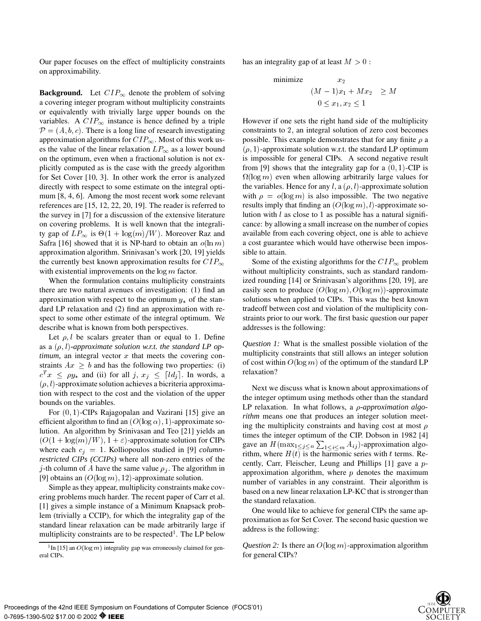Our paper focuses on the effect of multiplicity constraints on approximability.

**Background.** Let  $CIP_{\infty}$  denote the problem of solving a covering integer program without multiplicity constraints or equivalently with trivially large upper bounds on the variables. A  $CIP_{\infty}$  instance is hence defined by a triple  $\mathcal{P} = (A, b, c)$ . There is a long line of research investigating approximation algorithms for  $CIP_{\infty}$ . Most of this work uses the value of the linear relaxation  $LP_{\infty}$  as a lower bound on the optimum, even when a fractional solution is not explicitly computed as is the case with the greedy algorithm for Set Cover [10, 3]. In other work the error is analyzed directly with respect to some estimate on the integral optimum [8, 4, 6]. Among the most recent work some relevant references are [15, 12, 22, 20, 19]. The reader is referred to the survey in [7] for a discussion of the extensive literature on covering problems. It is well known that the integrality gap of  $LP_{\infty}$  is  $\Theta(1 + \log(m)/W)$ . Moreover Raz and Safra [16] showed that it is NP-hard to obtain an  $o(\ln m)$ approximation algorithm. Srinivasan's work [20, 19] yields the currently best known approximation results for  $CIP_{\infty}$ with existential improvements on the  $\log m$  factor.

When the formulation contains multiplicity constraints there are two natural avenues of investigation: (1) find an approximation with respect to the optimum  $y_*$  of the standard LP relaxation and (2) find an approximation with respect to some other estimate of the integral optimum. We describe what is known from both perspectives.

Let  $\rho, l$  be scalars greater than or equal to 1. Define as a  $(\rho, l)$ -*approximate solution w.r.t. the standard LP op* $timum$ , an integral vector  $x$  that meets the covering constraints  $Ax \geq b$  and has the following two properties: (i)  $c^T x \leq \rho y_*$  and (ii) for all j,  $x_j \leq \lceil d_j \rceil$ . In words, a  $(\rho, l)$ -approximate solution achieves a bicriteria approximation with respect to the cost and the violation of the upper bounds on the variables.

For (0; 1)-CIPs Rajagopalan and Vazirani [15] give an efficient algorithm to find an  $(O(\log \alpha), 1)$ -approximate solution. An algorithm by Srinivasan and Teo [21] yields an  $(O(1 + \log(m)/W), 1 + \varepsilon)$ -approximate solution for CIPs where each  $c_i = 1$ . Kolliopoulos studied in [9] *columnrestricted CIPs (CCIPs)* where all non-zero entries of the j-th column of A have the same value  $\rho_i$ . The algorithm in [9] obtains an  $(O(\log m), 12)$ -approximate solution.

Simple as they appear, multiplicity constraints make covering problems much harder. The recent paper of Carr et al. [1] gives a simple instance of a Minimum Knapsack problem (trivially a CCIP), for which the integrality gap of the standard linear relaxation can be made arbitrarily large if multiplicity constraints are to be respected<sup>1</sup>. The LP below

has an integrality gap of at least  $M > 0$ :

$$
\begin{array}{ll}\text{minimize} & x_2\\ & (M-1)x_1 + Mx_2 & \geq M\\ & 0 \leq x_1, x_2 \leq 1 \end{array}
$$

However if one sets the right hand side of the multiplicity constraints to 2; an integral solution of zero cost becomes possible. This example demonstrates that for any finite  $\rho$  a  $(\rho, 1)$ -approximate solution w.r.t. the standard LP optimum is impossible for general CIPs. A second negative result from [9] shows that the integrality gap for a  $(0, 1)$ -CIP is  $\Omega(\log m)$  even when allowing arbitrarily large values for the variables. Hence for any l, a  $(\rho, l)$ -approximate solution with  $\rho = o(\log m)$  is also impossible. The two negative results imply that finding an  $(O(\log m), l)$ -approximate solution with  $l$  as close to 1 as possible has a natural significance: by allowing a small increase on the number of copies available from each covering object, one is able to achieve a cost guarantee which would have otherwise been impossible to attain.

Some of the existing algorithms for the  $CIP_{\infty}$  problem without multiplicity constraints, such as standard randomized rounding [14] or Srinivasan's algorithms [20, 19], are easily seen to produce  $(O(\log m), O(\log m))$ -approximate solutions when applied to CIPs. This was the best known tradeoff between cost and violation of the multiplicity constraints prior to our work. The first basic question our paper addresses is the following:

*Question 1:* What is the smallest possible violation of the multiplicity constraints that still allows an integer solution of cost within  $O(\log m)$  of the optimum of the standard LP relaxation?

Next we discuss what is known about approximations of the integer optimum using methods other than the standard LP relaxation. In what follows, a *p-approximation algorithm* means one that produces an integer solution meeting the multiplicity constraints and having cost at most  $\rho$ times the integer optimum of the CIP. Dobson in 1982 [4] gave an  $H(\max_{1 \leq j \leq n} \sum_{1 \leq i \leq m} A_{ij})$ -approximation algorithm, where  $H(t)$  is the harmonic series with t terms. Recently, Carr, Fleischer, Leung and Phillips [1] gave a papproximation algorithm, where  $p$  denotes the maximum number of variables in any constraint. Their algorithm is based on a new linear relaxation LP-KC that is stronger than the standard relaxation.

One would like to achieve for general CIPs the same approximation as for Set Cover. The second basic question we address is the following:

*Question 2:* Is there an  $O(\log m)$ -approximation algorithm for general CIPs?



<sup>&</sup>lt;sup>1</sup>In [15] an  $O(\log m)$  integrality gap was erroneously claimed for general CIPs.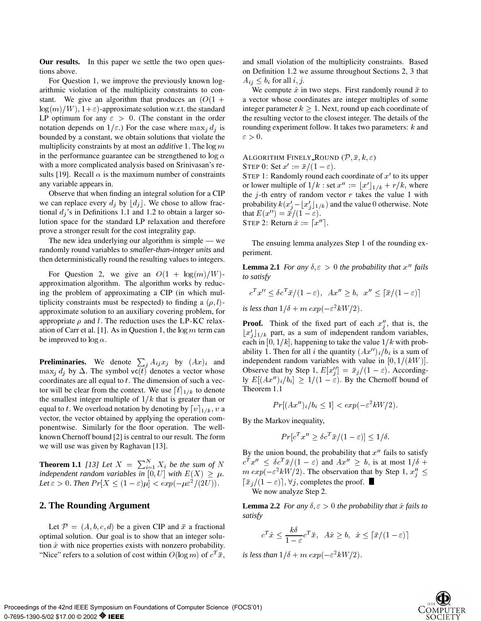**Our results.** In this paper we settle the two open questions above.

For Question 1, we improve the previously known logarithmic violation of the multiplicity constraints to constant. We give an algorithm that produces an  $(O(1 +$  $log(m)/W$ ,  $1+\varepsilon$ )-approximate solution w.r.t. the standard LP optimum for any  $\varepsilon > 0$ . (The constant in the order notation depends on  $1/\varepsilon$ .) For the case where  $\max_i d_i$  is bounded by a constant, we obtain solutions that violate the multiplicity constraints by at most an *additive* 1. The  $\log m$ in the performance guarantee can be strengthened to  $\log \alpha$ with a more complicated analysis based on Srinivasan's results [19]. Recall  $\alpha$  is the maximum number of constraints any variable appears in.

Observe that when finding an integral solution for a CIP we can replace every  $d_j$  by  $\lfloor d_j \rfloor$ . We chose to allow fractional  $d_i$ 's in Definitions 1.1 and 1.2 to obtain a larger solution space for the standard LP relaxation and therefore prove a stronger result for the cost integrality gap.

The new idea underlying our algorithm is simple — we randomly round variables to *smaller-than-integer units* and then deterministically round the resulting values to integers.

For Question 2, we give an  $O(1 + \log(m)/W)$ approximation algorithm. The algorithm works by reducing the problem of approximating a CIP (in which multiplicity constraints must be respected) to finding a  $(\rho, l)$ approximate solution to an auxiliary covering problem, for appropriate  $\rho$  and l: The reduction uses the LP-KC relaxation of Carr et al. [1]. As in Question 1, the  $\log m$  term can be improved to  $\log \alpha$ .

**Preliminaries.** We denote  $\sum_{i} A_{ij} x_j$  by  $(Ax)_i$  and  $\max_j d_j$  by  $\Delta$ . The symbol vc(t) denotes a vector whose coordinates are all equal to  $t$ . The dimension of such a vector will be clear from the context. We use  $\lceil t \rceil_{1/k}$  to denote the smallest integer multiple of  $1/k$  that is greater than or equal to t: We overload notation by denoting by  $[v]_{1/k}$ , v a vector, the vector obtained by applying the operation componentwise. Similarly for the floor operation. The wellknown Chernoff bound [2] is central to our result. The form we will use was given by Raghavan [13].

**Theorem 1.1** [13] Let  $X = \sum_{i=1}^{N} X_i$  be the sum of  $N$   $C^*$   $\mathcal{X}^{\prime} \leq$ *independent random variables in* [0, U] *with*  $E(X) \geq \mu$ . *Let*  $\varepsilon > 0$ . *Then*  $Pr[X \leq (1 - \varepsilon)\mu] < exp(-\mu \varepsilon^2/(2U)).$ 

#### **2. The Rounding Argument**

Let  $\mathcal{P} = (A, b, c, d)$  be a given CIP and  $\bar{x}$  a fractional optimal solution. Our goal is to show that an integer solution  $\hat{x}$  with nice properties exists with nonzero probability. "Nice" refers to a solution of cost within  $O(\log m)$  of  $c^T \bar{x}$ ,

and small violation of the multiplicity constraints. Based on Definition 1.2 we assume throughout Sections 2, 3 that  $A_{ij} \leq b_i$  for all  $i, j$ .

We compute  $\hat{x}$  in two steps. First randomly round  $\bar{x}$  to a vector whose coordinates are integer multiples of some integer parameter  $k > 1$ . Next, round up each coordinate of the resulting vector to the closest integer. The details of the rounding experiment follow. It takes two parameters: <sup>k</sup> and  $\varepsilon > 0.$ 

ALGORITHM FINELY ROUND  $(\mathcal{P}, \bar{x}, k, \varepsilon)$ STEP 0: Set  $x' := \bar{x}/(1 - \varepsilon)$ .

STEP 1: Randomly round each coordinate of  $x'$  to its upper or lower multiple of  $1/k$  : set  $x'' := [x']_{1/k} + r/k$ , where the  $j$ -th entry of random vector  $r$  takes the value 1 with probability  $k(x_i'-x_i'|_{1/k})$  and the value 0 otherwise. Note that  $E(x'')=\bar{x}/(1-\varepsilon)$ . STEP 2: Return  $\hat{x} := [x'']$ .

The ensuing lemma analyzes Step 1 of the rounding experiment.

**Lemma 2.1** *For any*  $\delta, \varepsilon > 0$  *the probability that*  $x''$  *fails to satisfy*

$$
c^T x'' \le \delta c^T \bar{x}/(1-\varepsilon), \quad Ax'' \ge b, \quad x'' \le [\bar{x}/(1-\varepsilon)]
$$

*is less than*  $1/\delta + m \exp(-\varepsilon^2 kW/2)$ .

**Proof.** Think of the fixed part of each  $x''_i$ , that is, the  $\lfloor x'_j \rfloor_{1/k}$  part, as a sum of independent random variables, each in [0,  $1/k$ ], happening to take the value  $1/k$  with probability 1. Then for all i the quantity  $(Ax'')_i/b_i$  is a sum of independent random variables with value in  $[0, 1/(kW)]$ . Observe that by Step 1,  $E[x''_i] = \bar{x}_j/(1 - \varepsilon)$ . Accordingly  $E[(Ax'')_i/b_i] \ge 1/(1 - \varepsilon)$ . By the Chernoff bound of Theorem 1.1

$$
Pr[(Ax'')_i/b_i \le 1] < exp(-\varepsilon^2 kW/2).
$$

By the Markov inequality,

$$
Pr[c^T x'' \ge \delta c^T \bar{x}/(1-\varepsilon)] \le 1/\delta.
$$

By the union bound, the probability that  $x''$  fails to satisfy  $c^T x''$  <  $\delta c^T \bar{x}/(1-\epsilon)$  and  $Ax'' > b$ , is at most  $1/\delta$  +  $m \exp(-\varepsilon^2 kW/2)$ . The observation that by Step 1,  $x_i'' \leq$  $\lceil \bar{x}_j/(1 - \varepsilon) \rceil$ ,  $\forall j$ , completes the proof. We now analyze Step 2.

**Lemma 2.2** *For any*  $\delta, \varepsilon > 0$  *the probability that*  $\hat{x}$  *fails to satisfy*

$$
c^T \hat{x} \le \frac{k\delta}{1-\varepsilon} c^T \bar{x}, \quad A\hat{x} \ge b, \quad \hat{x} \le \lceil \bar{x}/(1-\varepsilon) \rceil
$$

*is less than*  $1/\delta + m \exp(-\varepsilon^2 kW/2)$ .

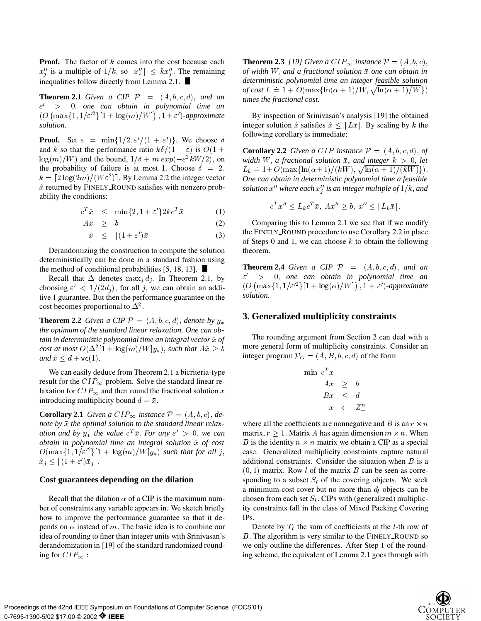**Proof.** The factor of k comes into the cost because each  $x_i''$  is a multiple of  $1/k$ , so  $\lceil x_i'' \rceil \leq kx_i''$ . The remaining inequalities follow directly from Lemma 2.1.

**Theorem 2.1** *Given a CIP P* =  $(A, b, c, d)$ *, and an* " <sup>0</sup> > 0; *one can obtain in polynomial time an*  $\left( O\left( \max\{1,1/\varepsilon'^2\} [1 + \log(m)/W] \right), 1 + \varepsilon' \right)$ -approximate *solution.*

**Proof.** Set  $\varepsilon = \min\{1/2, \varepsilon'/(1 + \varepsilon')\}$ . We choose  $\delta$ and k so that the performance ratio  $k\delta/(1 - \varepsilon)$  is  $O(1 +$  $\log(m)/W$ ) and the bound,  $1/\delta + m \exp(-\varepsilon^2 kW/2)$ , on the probability of failure is at most 1. Choose  $\delta = 2$ ,  $k = \lceil 2 \log(2m)/(W \varepsilon^2) \rceil$ . By Lemma 2.2 the integer vector  $\hat{x}$  returned by FINELY ROUND satisfies with nonzero probability the conditions:

$$
c^T \hat{x} \le \min\{2, 1 + \varepsilon'\} 2kc^T \bar{x} \tag{1}
$$

$$
A\hat{x} \geq b \tag{2}
$$

$$
\hat{x} \leq \left[ (1 + \varepsilon')\bar{x} \right] \tag{3}
$$

Derandomizing the construction to compute the solution deterministically can be done in a standard fashion using the method of conditional probabilities  $[5, 18, 13]$ .

Recall that  $\Delta$  denotes max<sub>i</sub>  $d_i$ . In Theorem 2.1, by choosing  $\varepsilon' < 1/(2d_i)$ , for all j, we can obtain an additive 1 guarantee. But then the performance guarantee on the cost becomes proportional to  $\Delta^2$ .

**Theorem 2.2** *Given a CIP*  $P = (A, b, c, d)$ *, denote by*  $y_*$ *the optimum of the standard linear relaxation. One can obtain in deterministic polynomial time an integral vector*  $\hat{x}$  *of cost at most*  $O(\Delta^2[1 + \log(m)/W]y_*)$ , *such that*  $A\hat{x} \geq b$  **more** g *and*  $\hat{x} \leq d + \mathsf{vc}(1)$ .

We can easily deduce from Theorem 2.1 a bicriteria-type result for the  $CIP_{\infty}$  problem. Solve the standard linear relaxation for  $CIP_{\infty}$  and then round the fractional solution  $\bar{x}$ introducing multiplicity bound  $d = \bar{x}$ .

**Corollary 2.1** *Given a CIP*  $\infty$  *instance*  $P = (A, b, c),$  *denote by*  $\bar{x}$  the optimal solution to the standard linear relax*ation and by*  $y_*$  *the value*  $c^T \bar{x}$ *. For any*  $\varepsilon' > 0$ *, we can obtain in polynomial time an integral solution*  $\hat{x}$  *of cost*  $O(\max\{1, 1/\varepsilon'^2\}[1 + \log(m)/W]y_*)$  *such that for all j*,  $x_j \leq (1 + \varepsilon)x_j$ .

#### **Cost guarantees depending on the dilation**

Recall that the dilation  $\alpha$  of a CIP is the maximum number of constraints any variable appears in. We sketch briefly how to improve the performance guarantee so that it depends on  $\alpha$  instead of m. The basic idea is to combine our idea of rounding to finer than integer units with Srinivasan's derandomization in [19] of the standard randomized rounding for  $CIP_{\infty}$ :

**Theorem 2.3** *[19] Given a CIP*<sub> $\infty$ </sub> *instance*  $\mathcal{P} = (A, b, c)$ , *of width* W; *and a fractional solution* x *one can obtain in deterministic polynomial time an integer feasible solution of cost*  $L = 1 + O(\max{\ln(\alpha + 1)/W, \sqrt{\ln(\alpha + 1)/W}})$ *times the fractional cost.*

By inspection of Srinivasan's analysis [19] the obtained integer solution  $\hat{x}$  satisfies  $\hat{x} \leq [L\bar{x}]$ . By scaling by k the following corollary is immediate:

**Corollary 2.2** *Given a CIP instance*  $P = (A, b, c, d)$ , *of width* W, a fractional solution  $\bar{x}$ , and integer  $k > 0$ , let  $L_k = 1 + O(\max{\ln(\alpha + 1)/(kW)}, \sqrt{\ln(\alpha + 1)/(kW)})$ . *One can obtain in deterministic polynomial time a feasible*  $s$ olution  $x''$  where each  $x''_j$  is an integer multiple of  $1/k$ , and

$$
c^T x'' \le L_k c^T \bar{x}, \ Ax'' \ge b, \ x'' \le [L_k \bar{x}].
$$

Comparing this to Lemma 2.1 we see that if we modify the FINELY\_ROUND procedure to use Corollary 2.2 in place of Steps 0 and 1, we can choose  $k$  to obtain the following theorem.

**Theorem 2.4** *Given a CIP*  $P = (A, b, c, d)$ *, and an* " <sup>0</sup> > 0; *one can obtain in polynomial time an*  $\left( O\left( \max\{1,1/\varepsilon'^2\} [1 + \log(\alpha)/W] \right), 1 + \varepsilon' \right)$ -approximate *solution.*

### **3. Generalized multiplicity constraints**

The rounding argument from Section 2 can deal with a more general form of multiplicity constraints. Consider an integer program  $\mathcal{P}_G = (A, B, b, c, d)$  of the form

$$
\begin{array}{rcl}\n\min\ c^T x \\
Ax & \geq & b \\
Bx & \leq & d \\
x & \in & Z^n_+ \\
\end{array}
$$

where all the coefficients are nonnegative and B is an  $r \times n$ matrix,  $r \geq 1$ . Matrix A has again dimension  $m \times n$ . When B is the identity  $n \times n$  matrix we obtain a CIP as a special case. Generalized multiplicity constraints capture natural additional constraints. Consider the situation when  $B$  is a  $(0, 1)$  matrix. Row l of the matrix B can be seen as corresponding to a subset  $S_l$  of the covering objects. We seek a minimum-cost cover but no more than  $d_l$  objects can be chosen from each set  $S_l$ . CIPs with (generalized) multiplicity constraints fall in the class of Mixed Packing Covering IPs.

Denote by  $T_l$  the sum of coefficients at the l-th row of  $B$ . The algorithm is very similar to the FINELY ROUND so we only outline the differences. After Step 1 of the rounding scheme, the equivalent of Lemma 2.1 goes through with

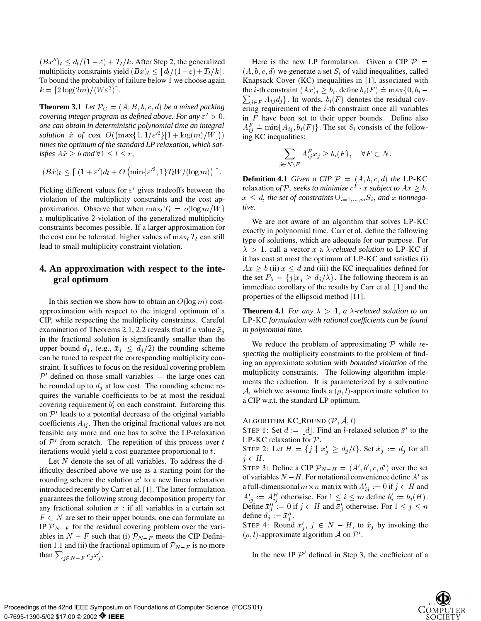$(Bx^{\prime\prime})_l \leq d_l/(1 - \varepsilon) + T_l/k$ . After Step 2, the generalized multiplicity constraints yield  $(B\hat{x})_l < [d_l/(1-\varepsilon)+T_l/k].$ To bound the probability of failure below <sup>1</sup> we choose again  $\kappa = 2 \log(2m)/(\sqrt{W} \varepsilon^{-})$ .

**Theorem 3.1** *Let*  $\mathcal{P}_G = (A, B, b, c, d)$  *be a mixed packing covering integer program as defined above. For any*  $\varepsilon' > 0$ , *one can obtain in deterministic polynomial time an integral solution*  $\hat{x}$  *of cost*  $O((\max\{1, 1/\varepsilon^{\prime 2}\}[1 + \log(m)/W]))$  in *times the optimum of the standard LP relaxation, which satisfies*  $A\hat{x} \geq b$  *and*  $\forall 1 \leq l \leq r$ ,

$$
(B\hat{x})_l \leq \lceil (1+\varepsilon')d_l + O\left(\min\{\varepsilon'^2, 1\}T_lW/(\log m)\right)\rceil.
$$

Picking different values for  $\varepsilon'$  gives tradeoffs between the violation of the multiplicity constraints and the cost approximation. Observe that when  $\max_l T_l = o(\log m/W)$ a multiplicative <sup>2</sup>-violation of the generalized multiplicity constraints becomes possible. If a larger approximation for the cost can be tolerated, higher values of  $\max_l T_l$  can still lead to small multiplicity constraint violation.

# **4. An approximation with respect to the integral optimum**

In this section we show how to obtain an  $O(\log m)$  costapproximation with respect to the integral optimum of a CIP, while respecting the multiplicity constraints. Careful examination of Theorems 2.1, 2.2 reveals that if a value  $\bar{x}_i$ in the fractional solution is significantly smaller than the upper bound  $d_j$ , (e.g.,  $\bar{x}_j \leq d_j/2$ ) the rounding scheme can be tuned to respect the corresponding multiplicity constraint. It suffices to focus on the residual covering problem  $P'$  defined on those small variables — the large ones can be rounded up to  $d_i$  at low cost. The rounding scheme requires the variable coefficients to be at most the residual covering requirement  $b_i'$  on each constraint. Enforcing this on  $P'$  leads to a potential decrease of the original variable coefficients  $A_{ij}$ . Then the original fractional values are not feasible any more and one has to solve the LP-relaxation of  $P'$  from scratch. The repetition of this process over  $t = \frac{1}{P}$ iterations would yield a cost guarantee proportional to  $t$ .

Let N denote the set of all variables. To address the difficulty described above we use as a starting point for the rounding scheme the solution  $\bar{x}$  to a new linear relaxation introduced recently by Carr et al. [1]. The latter formulation guarantees the following strong decomposition property for any fractional solution  $\bar{x}$  : if all variables in a certain set  $F \subset N$  are set to their upper bounds, one can formulate an IP  $\mathcal{P}_{N-F}$  for the residual covering problem over the variables in  $N - F$  such that (i)  $\mathcal{P}_{N-F}$  meets the CIP Definition 1.1 and (ii) the fractional optimum of  $\mathcal{P}_{N-F}$  is no more than  $\sum_{i \in N-F} c_i \bar{x}'_i$ .

 $> 0$ , in F have been set to their upper bounds. Define also ing KC inequalities: Here is the new LP formulation. Given a CIP  $P =$  $(A, b, c, d)$  we generate a set  $S_i$  of valid inequalities, called Knapsack Cover (KC) inequalities in [1], associated with the *i*-th constraint  $(Ax)_i \ge b_i$ . define  $b_i(F) = \max\{0, b_i \sum_{i \in F} A_{ij} d_j$ . In words,  $b_i(F)$  denotes the residual covering requirement of the <sup>i</sup>-th constraint once all variables  $A_{ij}^F = \min\{A_{ij}, b_i(F)\}\$ . The set  $S_i$  consists of the followin a strong contract the strong contract of the strong contract of the strong contract of the strong contract of the strong contract of the strong contract of the strong contract of the strong contract of the strong contra

$$
\sum_{j \in N \setminus F} A_{ij}^F x_j \ge b_i(F), \quad \forall F \subset N.
$$

**Definition 4.1** *Given a CIP*  $P = (A, b, c, d)$  *the* LP-KC relaxation *of* P, *seeks to minimize*  $c^T \cdot x$  *subject to*  $Ax \geq b$ ,  $x \leq d$ , the set of constraints  $\bigcup_{i=1,\dots,m} S_i$ , and x nonnega*tive.*

We are not aware of an algorithm that solves LP-KC exactly in polynomial time. Carr et al. define the following type of solutions, which are adequate for our purpose. For  $\lambda > 1$ , call a vector x a  $\lambda$ -relaxed solution to LP-KC if it has cost at most the optimum of LP-KC and satisfies (i)  $Ax > b$  (ii)  $x < d$  and (iii) the KC inequalities defined for the set  $F_{\lambda} = \{j | x_j \ge d_j/\lambda\}$ . The following theorem is an immediate corollary of the results by Carr et al. [1] and the properties of the ellipsoid method [11].

**Theorem 4.1** *For any*  $\lambda > 1$ *, a*  $\lambda$ -relaxed solution to an LP-KC *formulation with rational coefficients can be found in polynomial time.*

We reduce the problem of approximating <sup>P</sup> while *respecting* the multiplicity constraints to the problem of finding an approximate solution with *bounded violation* of the multiplicity constraints. The following algorithm implements the reduction. It is parameterized by a subroutine A, which we assume finds a  $(\rho, l)$ -approximate solution to a CIP w.r.t. the standard LP optimum.

```
ALGORITHM KC_ROUND (\mathcal{P}, \mathcal{A}, l)
```
STEP 1: Set  $d := \lfloor d \rfloor$ . Find an *l*-relaxed solution  $\bar{x}$ ' to the LP-KC relaxation for  $P$ .

STEP 2: Let  $H = \{j \mid \bar{x}_j' \ge d_j / l\}$ . Set  $\hat{x}_j := d_j$  for all  $j \in H$ .

STEP 3: Define a CIP  $\mathcal{P}_{N-H} = (A', b', c, d')$  over the set of variables  $N-H$ . For notational convenience define  $A'$  as a full-dimensional  $m \times n$  matrix with  $A'_{ij} := 0$  if  $j \in H$  and  $A'_{ij} := A''_{ij}$  otherwise. For  $1 \le i \le m$  define  $b'_i := b_i(H)$ .<br>Define  $\bar{x}''_j := 0$  if  $j \in H$  and  $\bar{x}'_j$  otherwise. For  $1 \le j \le n$ define  $d_j := \bar{x}''_j$ 

STEP 4: Round  $\bar{x}'_i$ ,  $j \in N - H$ , to  $\hat{x}_j$  by invoking the  $(\rho, l)$ -approximate algorithm A on P'.

In the new IP  $\mathcal{P}'$  defined in Step 3, the coefficient of a

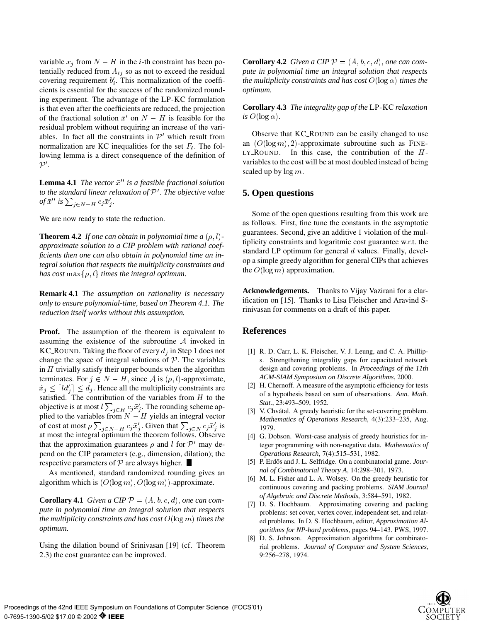variable  $x_j$  from  $N - H$  in the *i*-th constraint has been potentially reduced from  $A_{ij}$  so as not to exceed the residual covering requirement  $b_i'$ . This normalization of the coefficients is essential for the success of the randomized rounding experiment. The advantage of the LP-KC formulation is that even after the coefficients are reduced, the projection of the fractional solution  $\bar{x}'$  on  $N - H$  is feasible for the residual problem without requiring an increase of the variables. In fact all the constraints in  $\mathcal{P}'$  which result from normalization are KC inequalities for the set  $F_l$ . The following lemma is a direct consequence of the definition of  $\mathcal{P}^{\prime}.$ 

**Lemma 4.1** *The vector*  $\bar{x}^{\prime\prime}$  *is a feasible fractional solution to the standard linear relaxation of*  $P'$ *. The objective value of*  $\bar{x}^{\prime\prime}$  is  $\sum_{i \in N-H} c_i \bar{x}'_i$ .

We are now ready to state the reduction.

**Theorem 4.2** *If one can obtain in polynomial time a*  $(\rho, l)$ *approximate solution to a CIP problem with rational coefficients then one can also obtain in polynomial time an integral solution that respects the multiplicity constraints and has cost* max $\{\rho, l\}$  *times the integral optimum.* 

**Remark 4.1** *The assumption on rationality is necessary only to ensure polynomial-time, based on Theorem 4.1. The reduction itself works without this assumption.*

**Proof.** The assumption of the theorem is equivalent to assuming the existence of the subroutine <sup>A</sup> invoked in KC ROUND. Taking the floor of every  $d_i$  in Step 1 does not change the space of integral solutions of  $P$ . The variables in  $H$  trivially satisfy their upper bounds when the algorithm terminates. For  $j \in N - H$ , since A is  $(\rho, l)$ -approximate,  $\hat{x}_i \leq [ld'_i] \leq d_i$ . Hence all the multiplicity constraints are satisfied. The contribution of the variables from  $H$  to the objective is at most  $l \sum_{i \in H} c_i \bar{x}'_i$ . The rounding scheme applied to the variables from  $N - H$  yields an integral vector of cost at most  $\rho \sum_{i \in N-H} c_i \bar{x}'_i$ . Given that  $\sum_{i \in N} c_i \bar{x}'_i$  is at most the integral optimum the theorem follows. Observe that the approximation guarantees  $\rho$  and l for  $\mathcal{P}'$  may depend on the CIP parameters (e.g., dimension, dilation); the respective parameters of  $P$  are always higher.

As mentioned, standard randomized rounding gives an algorithm which is  $(O(\log m), O(\log m))$ -approximate.

**Corollary 4.1** *Given a CIP*  $P = (A, b, c, d)$ *, one can compute in polynomial time an integral solution that respects the multiplicity constraints and has cost* <sup>O</sup>(log m) *times the optimum.*

Using the dilation bound of Srinivasan [19] (cf. Theorem 2.3) the cost guarantee can be improved.

**Corollary 4.2** *Given a CIP*  $P = (A, b, c, d)$ *, one can compute in polynomial time an integral solution that respects the multiplicity constraints and has cost*  $O(\log \alpha)$  *times the optimum.*

**Corollary 4.3** *The integrality gap of the* LP-KC *relaxation is*  $O(\log \alpha)$ .

Observe that KC ROUND can be easily changed to use an  $(O(\log m), 2)$ -approximate subroutine such as FINE-LY ROUND. In this case, the contribution of the  $H$ variables to the cost will be at most doubled instead of being scaled up by  $\log m$ .

### **5. Open questions**

Some of the open questions resulting from this work are as follows. First, fine tune the constants in the asymptotic guarantees. Second, give an additive <sup>1</sup> violation of the multiplicity constraints and logaritmic cost guarantee w.r.t. the standard LP optimum for general  $d$  values. Finally, develop a simple greedy algorithm for general CIPs that achieves the  $O(\log m)$  approximation.

**Acknowledgements.** Thanks to Vijay Vazirani for a clarification on [15]. Thanks to Lisa Fleischer and Aravind Srinivasan for comments on a draft of this paper.

#### **References**

- [1] R. D. Carr, L. K. Fleischer, V. J. Leung, and C. A. Phillips. Strengthening integrality gaps for capacitated network design and covering problems. In *Proceedings of the 11th ACM-SIAM Symposium on Discrete Algorithms*, 2000.
- [2] H. Chernoff. A measure of the asymptotic efficiency for tests of a hypothesis based on sum of observations. *Ann. Math. Stat.*, 23:493–509, 1952.
- [3] V. Chvátal. A greedy heuristic for the set-covering problem. *Mathematics of Operations Research*, 4(3):233–235, Aug. 1979.
- [4] G. Dobson. Worst-case analysis of greedy heuristics for integer programming with non-negative data. *Mathematics of Operations Research*, 7(4):515–531, 1982.
- [5] P. Erdős and J. L. Selfridge. On a combinatorial game. *Journal of Combinatorial Theory A*, 14:298–301, 1973.
- [6] M. L. Fisher and L. A. Wolsey. On the greedy heuristic for continuous covering and packing problems. *SIAM Journal of Algebraic and Discrete Methods*, 3:584–591, 1982.
- [7] D. S. Hochbaum. Approximating covering and packing problems: set cover, vertex cover, independent set, and related problems. In D. S. Hochbaum, editor, *Approximation Algorithms for NP-hard problems*, pages 94–143. PWS, 1997.
- [8] D. S. Johnson. Approximation algorithms for combinatorial problems. *Journal of Computer and System Sciences*, 9:256–278, 1974.